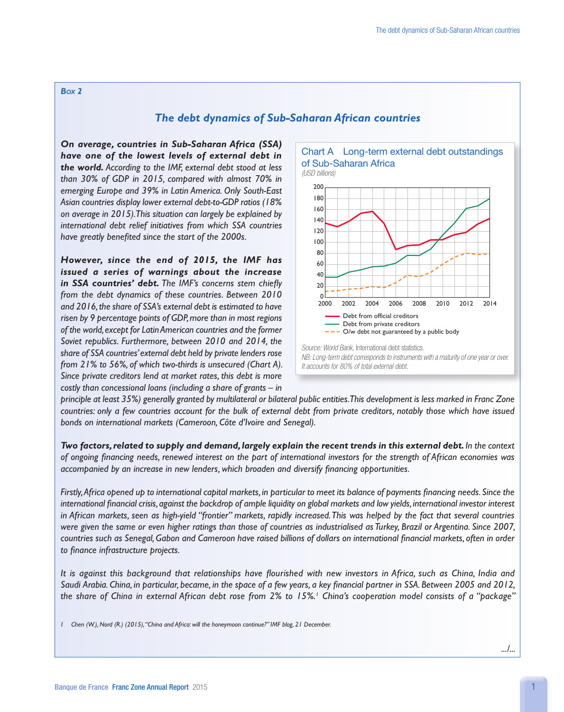## *Box 2*

## *The debt dynamics of Sub-Saharan African countries*

*On average, countries in Sub-Saharan Africa (SSA) have one of the lowest levels of external debt in the world. According to the IMF, external debt stood at less than 30% of GDP in 2015, compared with almost 70% in emerging Europe and 39% in Latin America. Only South-East Asian countries display lower external debt-to-GDP ratios (18% on average in 2015). This situation can largely be explained by international debt relief initiatives from which SSA countries have greatly benefited since the start of the 2000s.*

*However, since the end of 2015, the IMF has issued a series of warnings about the increase in SSA countries' debt. The IMF's concerns stem chiefly from the debt dynamics of these countries. Between 2010 and 2016, the share of SSA's external debt is estimated to have risen by 9 percentage points of GDP, more than in most regions of the world, except for Latin American countries and the former Soviet republics. Furthermore, between 2010 and 2014, the share of SSA countries' external debt held by private lenders rose from 21% to 56%, of which two-thirds is unsecured (Chart A). Since private creditors lend at market rates, this debt is more costly than concessional loans (including a share of grants – in* 



*principle at least 35%) generally granted by multilateral or bilateral public entities. This development is less marked in Franc Zone countries: only a few countries account for the bulk of external debt from private creditors, notably those which have issued bonds on international markets (Cameroon, Côte d'Ivoire and Senegal).*

*Two factors, related to supply and demand, largely explain the recent trends in this external debt. In the context of ongoing financing needs, renewed interest on the part of international investors for the strength of African economies was accompanied by an increase in new lenders, which broaden and diversify financing opportunities.*

*Firstly,Africa opened up to international capital markets, in particular to meet its balance of payments financing needs. Since the international financial crisis, against the backdrop of ample liquidity on global markets and low yields, international investor interest in African markets, seen as high-yield "frontier" markets, rapidly increased. This was helped by the fact that several countries were given the same or even higher ratings than those of countries as industrialised as Turkey, Brazil or Argentina. Since 2007, countries such as Senegal, Gabon and Cameroon have raised billions of dollars on international financial markets, often in order to finance infrastructure projects.*

*It is against this background that relationships have flourished with new investors in Africa, such as China, India and Saudi Arabia. China, in particular, became, in the space of a few years, a key financial partner in SSA. Between 2005 and 2012, the share of China in external African debt rose from 2% to 15%.1 China's cooperation model consists of a "package"* 

*1 Chen (W.), Nord (R.) (2015), "China and Africa: will the honeymoon continue?" IMF blog, 21 December.*

*.../...*